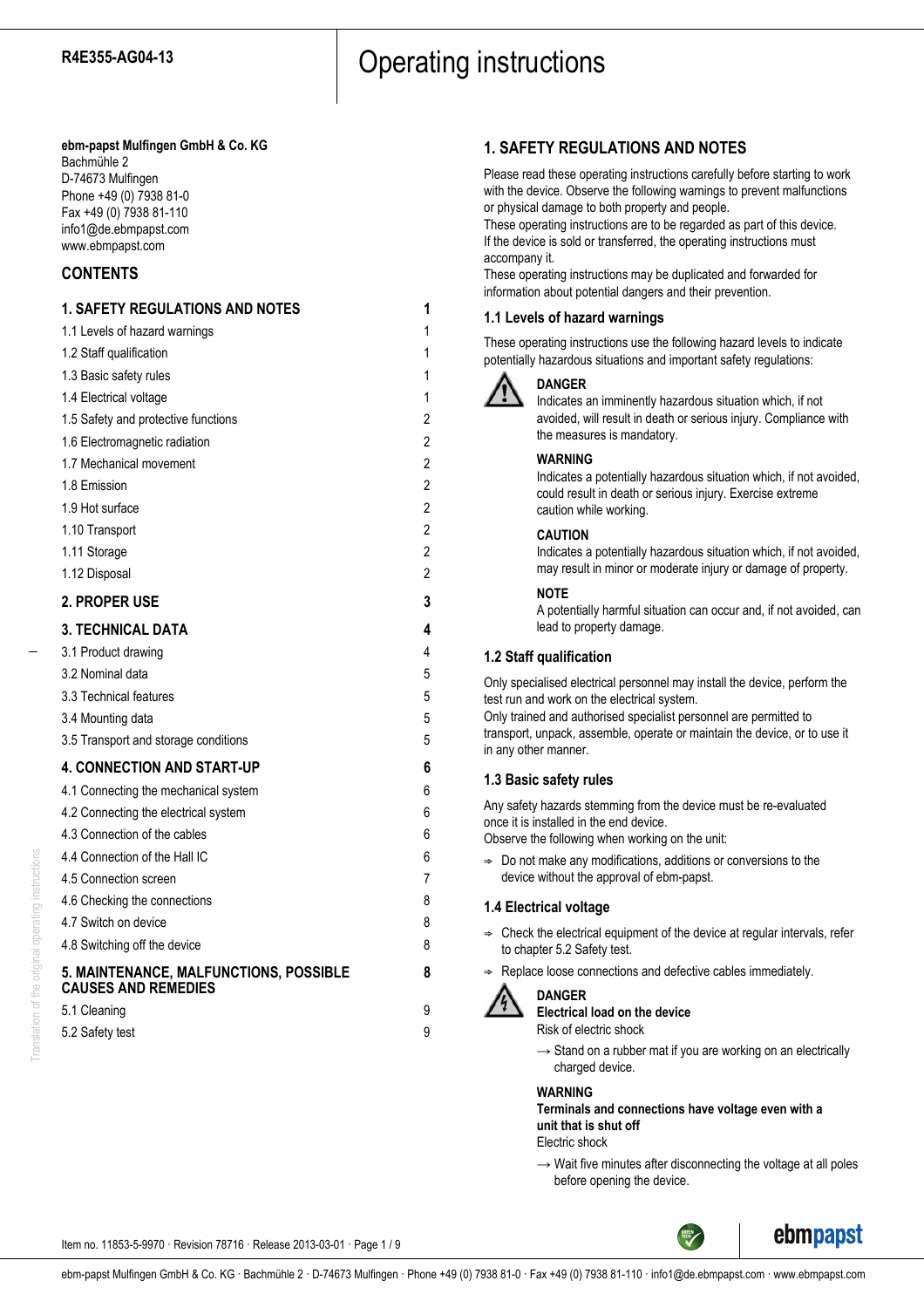#### **ebm-papst Mulfingen GmbH & Co. KG** Bachmühle 2

D-74673 Mulfingen Phone +49 (0) 7938 81-0 Fax +49 (0) 7938 81-110 info1@de.ebmpapst.com www.ebmpapst.com

## **CONTENTS**

## **1. SAFETY REGULATIONS AND NOTES 1** 1.1 Levels of hazard warnings 1 1.2 Staff qualification 1 1.3 Basic safety rules 1 1.4 Electrical voltage 1 1.5 Safety and protective functions 2 1.6 Electromagnetic radiation 2 1.7 Mechanical movement 2 1.8 Emission 2 1.9 Hot surface 2 1.10 Transport 2 1.11 Storage 2 1.12 Disposal 2 **2. PROPER USE 3 3. TECHNICAL DATA 4** 3.1 Product drawing 4 3.2 Nominal data 5 3.3 Technical features 5 3.4 Mounting data 5 3.5 Transport and storage conditions 6  $\overline{5}$ **4. CONNECTION AND START-UP 6** 4.1 Connecting the mechanical system 6 4.2 Connecting the electrical system 6 4.3 Connection of the cables 6 4.4 Connection of the Hall IC 6 4.5 Connection screen 7 4.6 Checking the connections 8 4.7 Switch on device 8 4.8 Switching off the device 8 **5. MAINTENANCE, MALFUNCTIONS, POSSIBLE 8 CAUSES AND REMEDIES** 5.1 Cleaning 9 5.2 Safety test 9

## **1. SAFETY REGULATIONS AND NOTES**

Please read these operating instructions carefully before starting to work with the device. Observe the following warnings to prevent malfunctions or physical damage to both property and people.

These operating instructions are to be regarded as part of this device. If the device is sold or transferred, the operating instructions must accompany it.

These operating instructions may be duplicated and forwarded for information about potential dangers and their prevention.

## **1.1 Levels of hazard warnings**

These operating instructions use the following hazard levels to indicate potentially hazardous situations and important safety regulations:



## **DANGER**

Indicates an imminently hazardous situation which, if not avoided, will result in death or serious injury. Compliance with the measures is mandatory.

## **WARNING**

Indicates a potentially hazardous situation which, if not avoided, could result in death or serious injury. Exercise extreme caution while working.

## **CAUTION**

Indicates a potentially hazardous situation which, if not avoided, may result in minor or moderate injury or damage of property.

## **NOTE**

A potentially harmful situation can occur and, if not avoided, can lead to property damage.

## **1.2 Staff qualification**

Only specialised electrical personnel may install the device, perform the test run and work on the electrical system. Only trained and authorised specialist personnel are permitted to transport, unpack, assemble, operate or maintain the device, or to use it

## **1.3 Basic safety rules**

in any other manner.

Any safety hazards stemming from the device must be re-evaluated once it is installed in the end device.

Observe the following when working on the unit:

 $\Rightarrow$  Do not make any modifications, additions or conversions to the device without the approval of ebm-papst.

## **1.4 Electrical voltage**

- $\Rightarrow$  Check the electrical equipment of the device at regular intervals, refer to chapter 5.2 Safety test.
- Replace loose connections and defective cables immediately.



## **DANGER**

**Electrical load on the device**

- Risk of electric shock
- $\rightarrow$  Stand on a rubber mat if you are working on an electrically charged device.

## **WARNING**

**Terminals and connections have voltage even with a unit that is shut off**

Electric shock

 $\rightarrow$  Wait five minutes after disconnecting the voltage at all poles before opening the device.

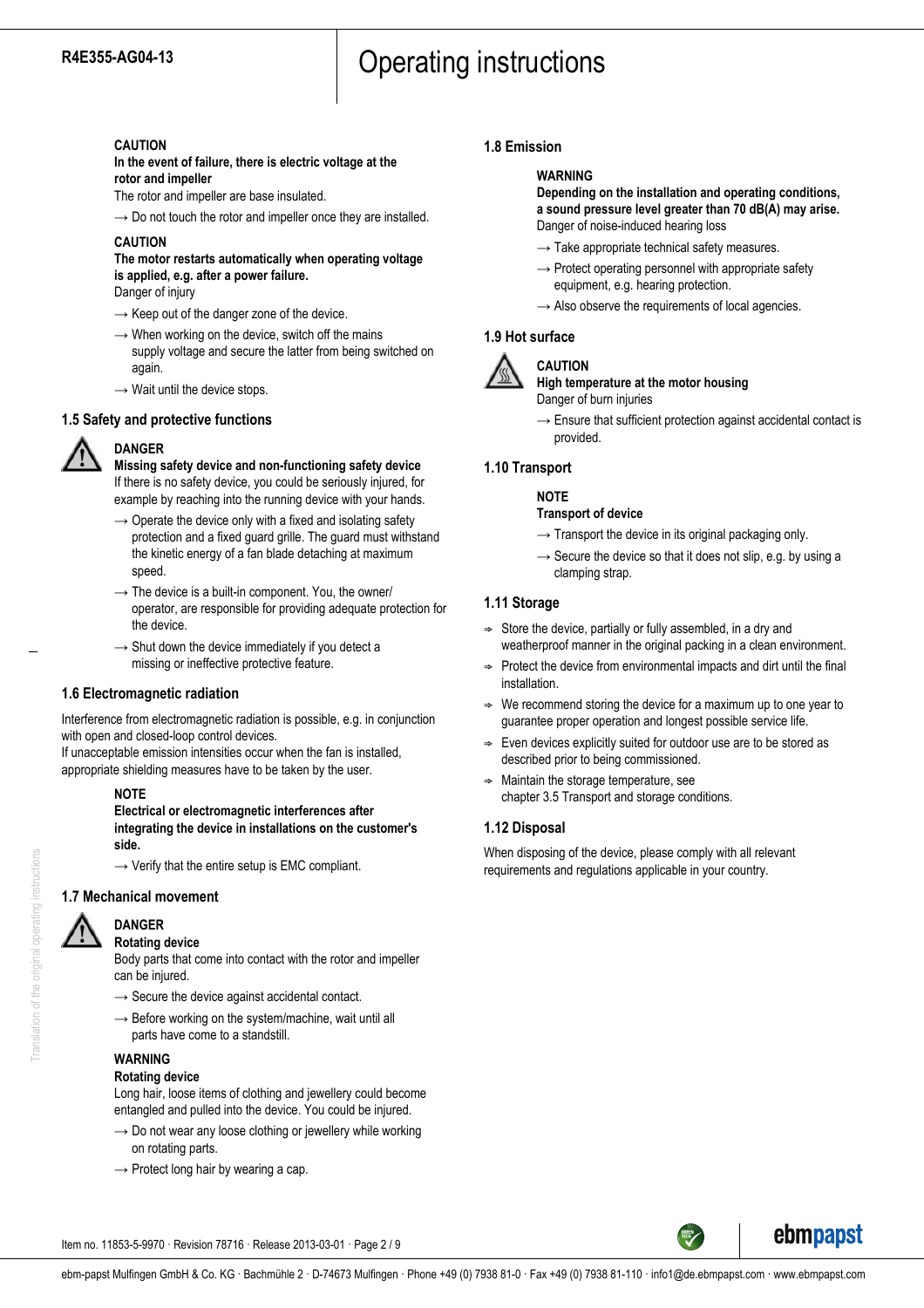#### **CAUTION**

**In the event of failure, there is electric voltage at the rotor and impeller**

The rotor and impeller are base insulated.

 $\rightarrow$  Do not touch the rotor and impeller once they are installed.

## **CAUTION**

**The motor restarts automatically when operating voltage is applied, e.g. after a power failure.**

Danger of injury

- $\rightarrow$  Keep out of the danger zone of the device.
- $\rightarrow$  When working on the device, switch off the mains supply voltage and secure the latter from being switched on again.
- $\rightarrow$  Wait until the device stops.

## **1.5 Safety and protective functions**



**DANGER Missing safety device and non-functioning safety device** If there is no safety device, you could be seriously injured, for example by reaching into the running device with your hands.

- $\rightarrow$  Operate the device only with a fixed and isolating safety protection and a fixed guard grille. The guard must withstand the kinetic energy of a fan blade detaching at maximum speed.
- $\rightarrow$  The device is a built-in component. You, the owner/ operator, are responsible for providing adequate protection for the device.
- $\rightarrow$  Shut down the device immediately if you detect a missing or ineffective protective feature.

## **1.6 Electromagnetic radiation**

Interference from electromagnetic radiation is possible, e.g. in conjunction with open and closed-loop control devices.

If unacceptable emission intensities occur when the fan is installed, appropriate shielding measures have to be taken by the user.

#### **NOTE**

**Electrical or electromagnetic interferences after integrating the device in installations on the customer's side.**

 $\rightarrow$  Verify that the entire setup is EMC compliant.

## **1.7 Mechanical movement**



## **Rotating device**

Body parts that come into contact with the rotor and impeller can be injured.

- $\rightarrow$  Secure the device against accidental contact.
- $\rightarrow$  Before working on the system/machine, wait until all parts have come to a standstill.

## **WARNING**

**Rotating device** Long hair, loose items of clothing and jewellery could become entangled and pulled into the device. You could be injured.

- $\rightarrow$  Do not wear any loose clothing or jewellery while working on rotating parts.
- $\rightarrow$  Protect long hair by wearing a cap.

## **1.8 Emission**

## **WARNING**

**Depending on the installation and operating conditions, a sound pressure level greater than 70 dB(A) may arise.** Danger of noise-induced hearing loss

- $\rightarrow$  Take appropriate technical safety measures.
- $\rightarrow$  Protect operating personnel with appropriate safety equipment, e.g. hearing protection.
- $\rightarrow$  Also observe the requirements of local agencies.

## **1.9 Hot surface**



## **High temperature at the motor housing** Danger of burn injuries

 $\rightarrow$  Ensure that sufficient protection against accidental contact is provided.

## **1.10 Transport**

## **NOTE**

**CAUTION**

- **Transport of device**
- $\rightarrow$  Transport the device in its original packaging only.
- $\rightarrow$  Secure the device so that it does not slip, e.g. by using a clamping strap.

## **1.11 Storage**

- $\Rightarrow$  Store the device, partially or fully assembled, in a dry and weatherproof manner in the original packing in a clean environment.
- $\Rightarrow$  Protect the device from environmental impacts and dirt until the final installation.
- We recommend storing the device for a maximum up to one year to guarantee proper operation and longest possible service life.
- Even devices explicitly suited for outdoor use are to be stored as described prior to being commissioned.
- ; Maintain the storage temperature, see chapter 3.5 Transport and storage conditions.

## **1.12 Disposal**

When disposing of the device, please comply with all relevant requirements and regulations applicable in your country.



Item no. 11853-5-9970 · Revision 78716 · Release 2013-03-01 · Page 2 / 9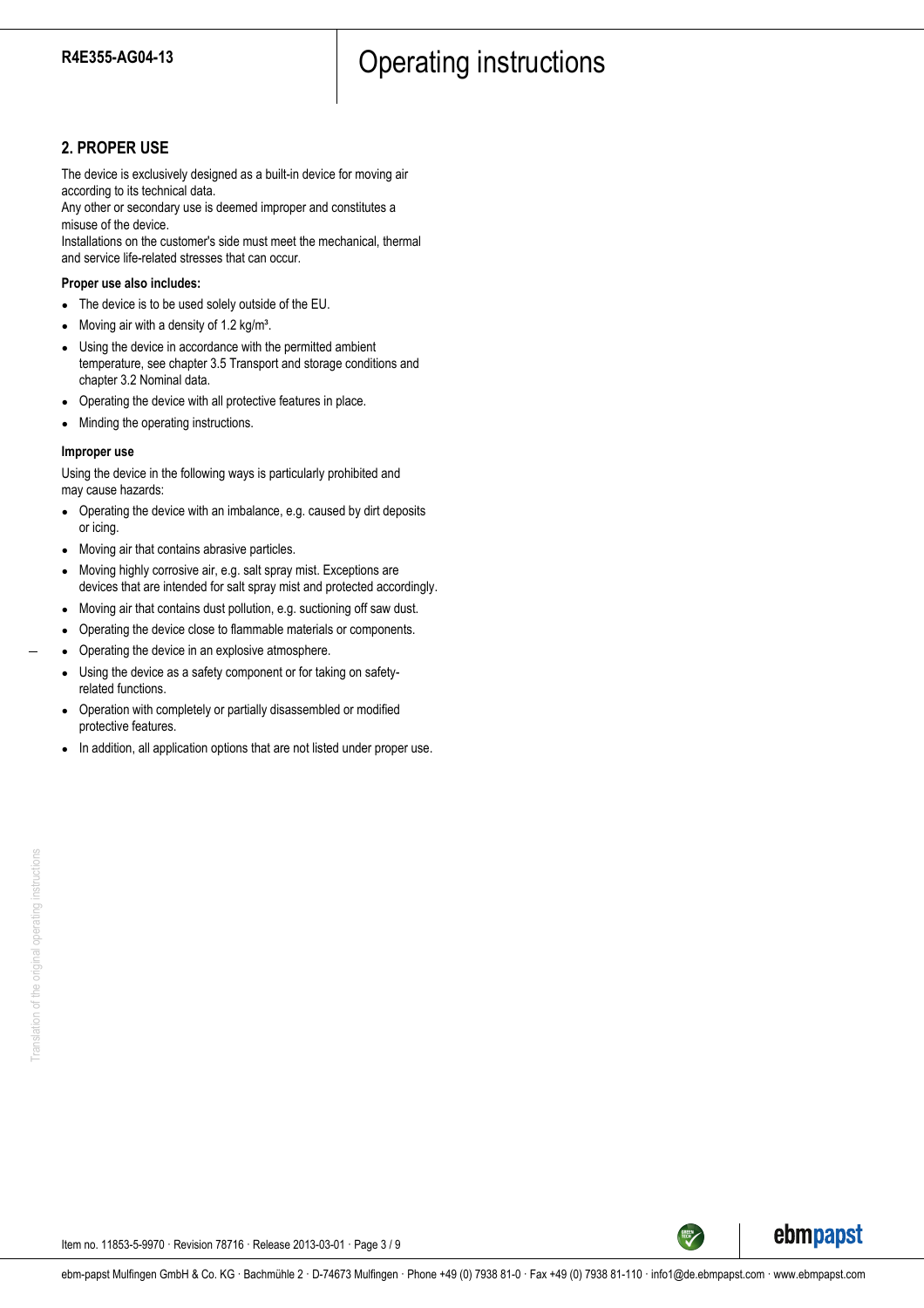## **2. PROPER USE**

The device is exclusively designed as a built-in device for moving air according to its technical data.

Any other or secondary use is deemed improper and constitutes a misuse of the device.

Installations on the customer's side must meet the mechanical, thermal and service life-related stresses that can occur.

#### **Proper use also includes:**

- The device is to be used solely outside of the EU.
- Moving air with a density of 1.2 kg/m<sup>3</sup>.
- Using the device in accordance with the permitted ambient temperature, see chapter 3.5 Transport and storage conditions and chapter 3.2 Nominal data.
- Operating the device with all protective features in place.
- Minding the operating instructions.

#### **Improper use**

Using the device in the following ways is particularly prohibited and may cause hazards:

- Operating the device with an imbalance, e.g. caused by dirt deposits or icing.
- Moving air that contains abrasive particles.
- Moving highly corrosive air, e.g. salt spray mist. Exceptions are devices that are intended for salt spray mist and protected accordingly.
- Moving air that contains dust pollution, e.g. suctioning off saw dust.
- Operating the device close to flammable materials or components.
- Operating the device in an explosive atmosphere.
- Using the device as a safety component or for taking on safetyrelated functions.
- Operation with completely or partially disassembled or modified protective features.
- In addition, all application options that are not listed under proper use.



Item no. 11853-5-9970 · Revision 78716 · Release 2013-03-01 · Page 3 / 9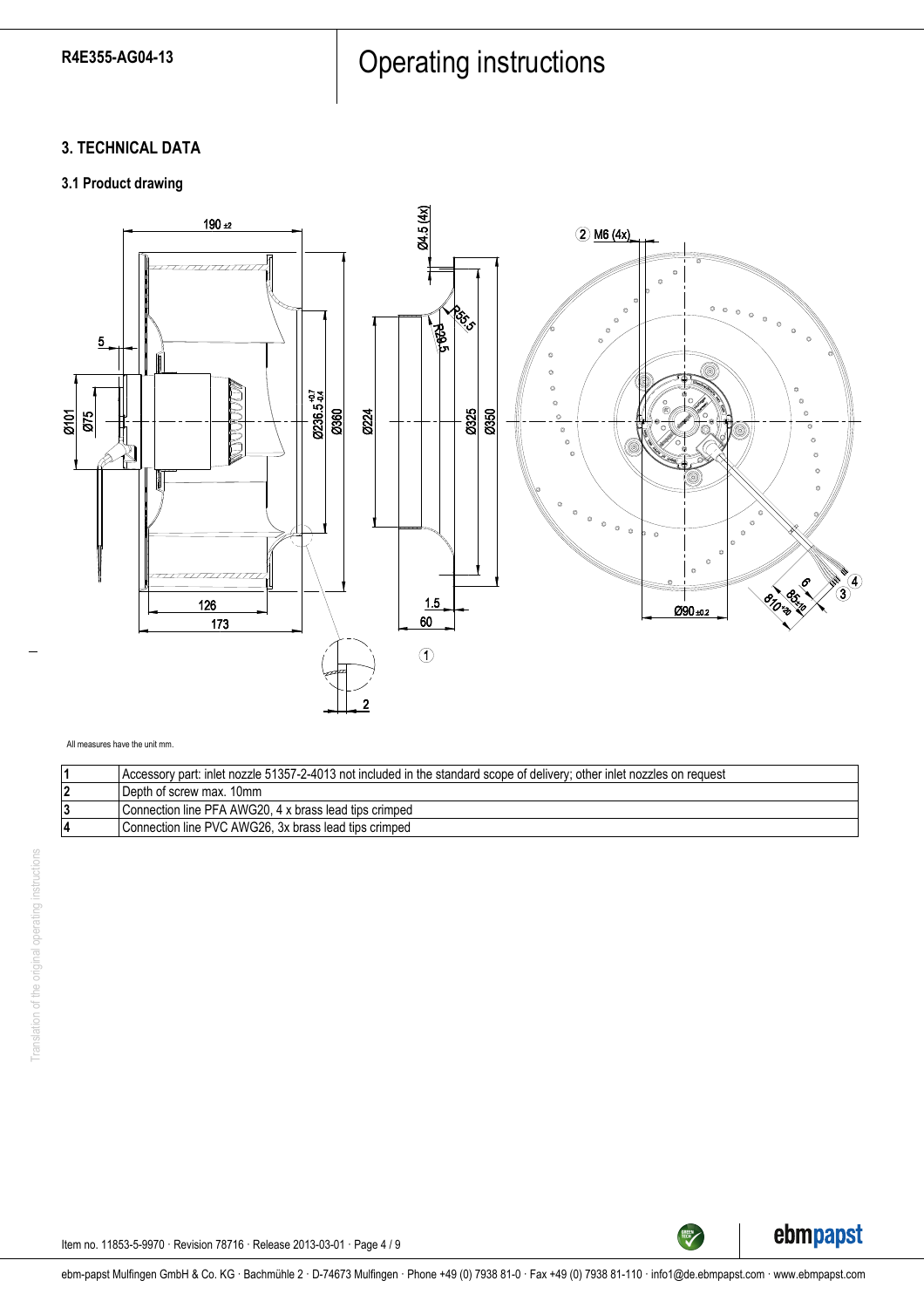# R4E355-AG04-13 Press Press Press Press Press Press Press Press Press Press Press P

## **3. TECHNICAL DATA**

## **3.1 Product drawing**



All measures have the unit mm.

| Accessory part: inlet nozzle 51357-2-4013 not included in the standard scope of delivery; other inlet nozzles on request |
|--------------------------------------------------------------------------------------------------------------------------|
| I Depth of screw max. 10mm                                                                                               |
| Connection line PFA AWG20, 4 x brass lead tips crimped                                                                   |
| Connection line PVC AWG26, 3x brass lead tips crimped                                                                    |



TECH

Item no. 11853-5-9970 · Revision 78716 · Release 2013-03-01 · Page 4 / 9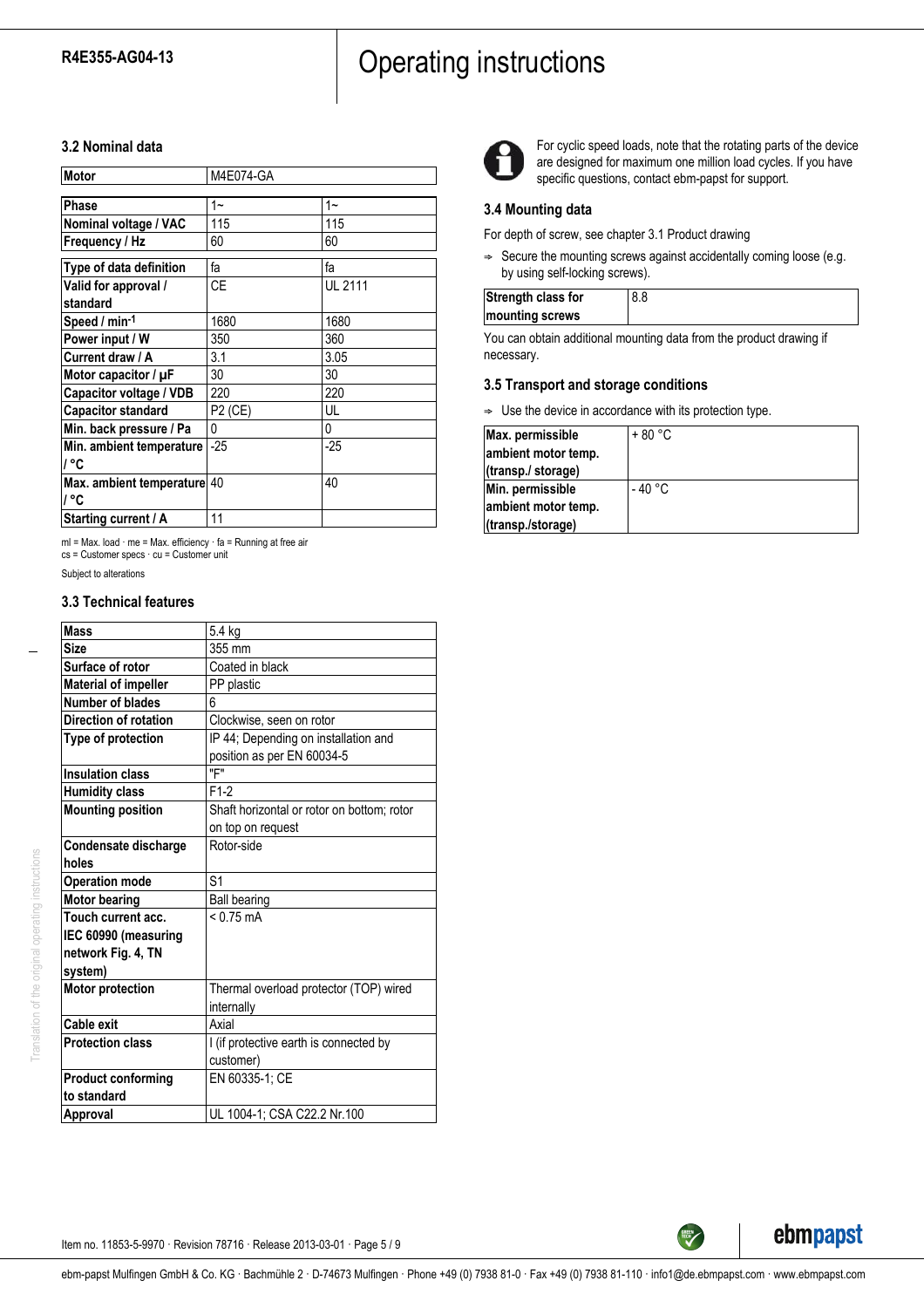# R4E355-AG04-13 **Operating instructions**

## **3.2 Nominal data**

| Motor                               | M4E074-GA |                |
|-------------------------------------|-----------|----------------|
| Phase                               | 1~        | $1 -$          |
| Nominal voltage / VAC               | 115       | 115            |
| Frequency / Hz                      | 60        | 60             |
| Type of data definition             | fa        | fa             |
| Valid for approval /<br>standard    | <b>CE</b> | <b>UL 2111</b> |
| Speed / min-1                       | 1680      | 1680           |
| Power input / W                     | 350       | 360            |
| Current draw / A                    | 3.1       | 3.05           |
| Motor capacitor / $\mu$ F           | 30        | 30             |
| Capacitor voltage / VDB             | 220       | 220            |
| <b>Capacitor standard</b>           | P2 (CE)   | UL             |
| Min. back pressure / Pa             | 0         | 0              |
| Min. ambient temperature<br>ା °C    | $-25$     | $-25$          |
| Max. ambient temperature 40<br>ା °C |           | 40             |
| Starting current / A                | 11        |                |

ml = Max. load · me = Max. efficiency · fa = Running at free air cs = Customer specs · cu = Customer unit

## Subject to alterations

## **3.3 Technical features**

| <b>Mass</b>                 | 5.4 kg                                     |
|-----------------------------|--------------------------------------------|
| Size                        | 355 mm                                     |
| Surface of rotor            | Coated in black                            |
| <b>Material of impeller</b> | PP plastic                                 |
| Number of blades            | 6                                          |
| Direction of rotation       | Clockwise, seen on rotor                   |
| Type of protection          | IP 44; Depending on installation and       |
|                             | position as per EN 60034-5                 |
| <b>Insulation class</b>     | "F"                                        |
| <b>Humidity class</b>       | $F1-2$                                     |
| <b>Mounting position</b>    | Shaft horizontal or rotor on bottom; rotor |
|                             | on top on request                          |
| Condensate discharge        | Rotor-side                                 |
| holes                       |                                            |
| <b>Operation mode</b>       | S <sub>1</sub>                             |
| <b>Motor bearing</b>        | <b>Ball bearing</b>                        |
| Touch current acc.          | $< 0.75$ mA                                |
| IEC 60990 (measuring        |                                            |
| network Fig. 4, TN          |                                            |
| system)                     |                                            |
| <b>Motor protection</b>     | Thermal overload protector (TOP) wired     |
|                             | internally                                 |
| Cable exit                  | Axial                                      |
| <b>Protection class</b>     | I (if protective earth is connected by     |
|                             | customer)                                  |
| <b>Product conforming</b>   | EN 60335-1; CE                             |
| to standard                 |                                            |
| Approval                    | UL 1004-1; CSA C22.2 Nr.100                |



For cyclic speed loads, note that the rotating parts of the device are designed for maximum one million load cycles. If you have specific questions, contact ebm-papst for support.

#### **3.4 Mounting data**

For depth of screw, see chapter 3.1 Product drawing

 $\Rightarrow$  Secure the mounting screws against accidentally coming loose (e.g. by using self-locking screws).

| Strength class for |  |
|--------------------|--|
| mounting screws    |  |
|                    |  |

You can obtain additional mounting data from the product drawing if necessary.

#### **3.5 Transport and storage conditions**

 $\Rightarrow$  Use the device in accordance with its protection type.

| Max. permissible    | $+80 °C$ |
|---------------------|----------|
| ambient motor temp. |          |
| (transp./ storage)  |          |
| Min. permissible    | - 40 °C  |
| ambient motor temp. |          |
| (transp./storage)   |          |



**GREEN** 

Item no. 11853-5-9970 · Revision 78716 · Release 2013-03-01 · Page 5 / 9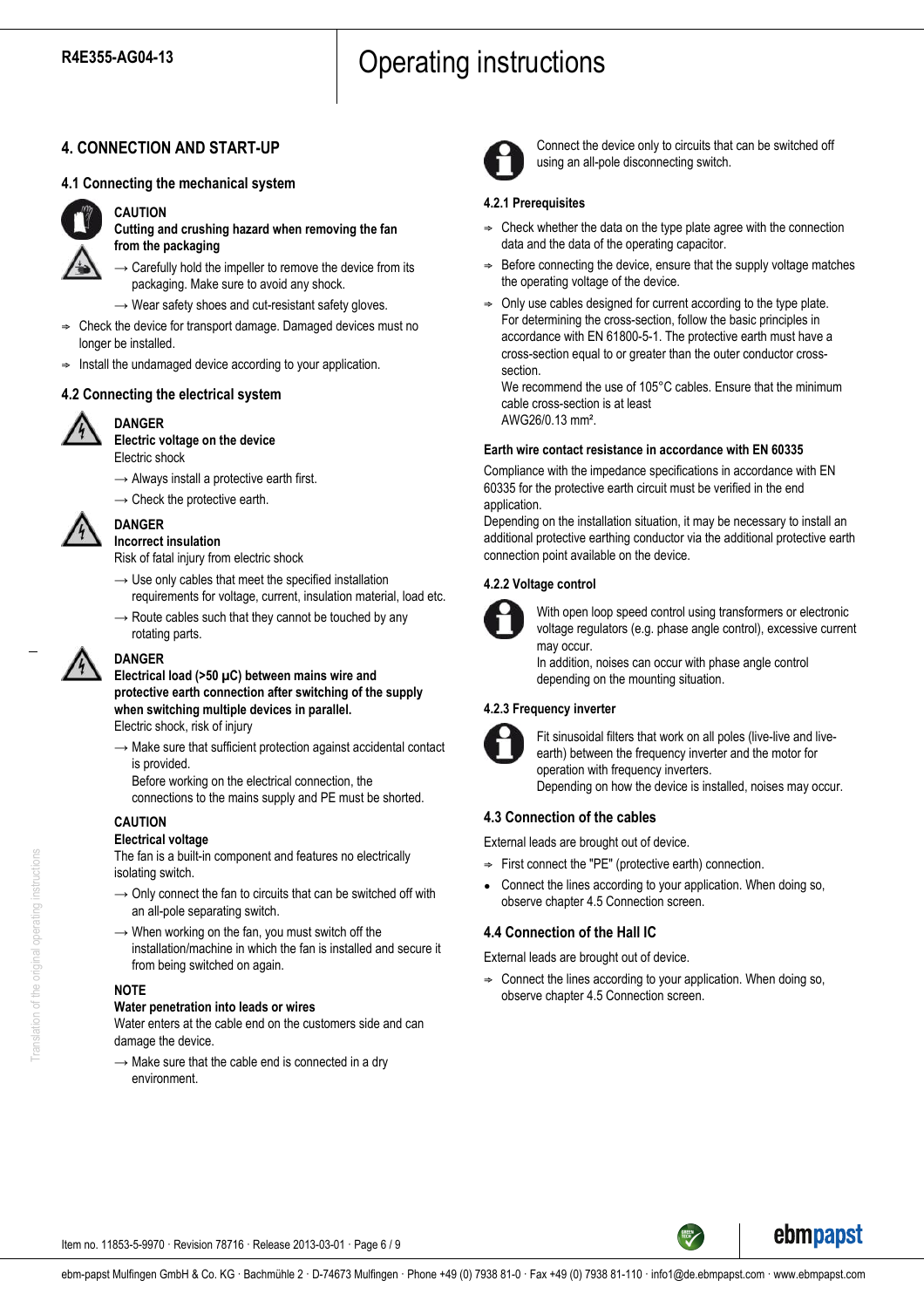## **4. CONNECTION AND START-UP**

## **4.1 Connecting the mechanical system**



## **CAUTION**

**Cutting and crushing hazard when removing the fan from the packaging**

 $\rightarrow$  Carefully hold the impeller to remove the device from its packaging. Make sure to avoid any shock.

- $\rightarrow$  Wear safety shoes and cut-resistant safety gloves.
- ; Check the device for transport damage. Damaged devices must no longer be installed.
- Install the undamaged device according to your application.

## **4.2 Connecting the electrical system**



#### **DANGER Electric voltage on the device**

Electric shock

- $\rightarrow$  Always install a protective earth first.
- $\rightarrow$  Check the protective earth.



**Incorrect insulation**

**DANGER**

Risk of fatal injury from electric shock

- $\rightarrow$  Use only cables that meet the specified installation requirements for voltage, current, insulation material, load etc.
- $\rightarrow$  Route cables such that they cannot be touched by any rotating parts.



## **DANGER**

**Electrical load (>50 µC) between mains wire and protective earth connection after switching of the supply when switching multiple devices in parallel.**

Electric shock, risk of injury

- $\rightarrow$  Make sure that sufficient protection against accidental contact is provided.
	- Before working on the electrical connection, the connections to the mains supply and PE must be shorted.

## **CAUTION**

## **Electrical voltage**

The fan is a built-in component and features no electrically isolating switch.

- $\rightarrow$  Only connect the fan to circuits that can be switched off with an all-pole separating switch.
- $\rightarrow$  When working on the fan, you must switch off the installation/machine in which the fan is installed and secure it from being switched on again.

## **NOTE**

## **Water penetration into leads or wires**

Water enters at the cable end on the customers side and can damage the device.

 $\rightarrow$  Make sure that the cable end is connected in a dry environment.



Connect the device only to circuits that can be switched off using an all-pole disconnecting switch.

## **4.2.1 Prerequisites**

- $\Rightarrow$  Check whether the data on the type plate agree with the connection data and the data of the operating capacitor.
- Before connecting the device, ensure that the supply voltage matches the operating voltage of the device.
- $\Rightarrow$  Only use cables designed for current according to the type plate. For determining the cross-section, follow the basic principles in accordance with EN 61800-5-1. The protective earth must have a cross-section equal to or greater than the outer conductor crosssection.

We recommend the use of 105°C cables. Ensure that the minimum cable cross-section is at least AWG26/0.13 mm².

#### **Earth wire contact resistance in accordance with EN 60335**

Compliance with the impedance specifications in accordance with EN 60335 for the protective earth circuit must be verified in the end application.

Depending on the installation situation, it may be necessary to install an additional protective earthing conductor via the additional protective earth connection point available on the device.

## **4.2.2 Voltage control**



With open loop speed control using transformers or electronic voltage regulators (e.g. phase angle control), excessive current may occur.

In addition, noises can occur with phase angle control depending on the mounting situation.

## **4.2.3 Frequency inverter**



Fit sinusoidal filters that work on all poles (live-live and liveearth) between the frequency inverter and the motor for operation with frequency inverters. Depending on how the device is installed, noises may occur.

## **4.3 Connection of the cables**

External leads are brought out of device.

- $\Rightarrow$  First connect the "PE" (protective earth) connection.
- Connect the lines according to your application. When doing so, observe chapter 4.5 Connection screen.

## **4.4 Connection of the Hall IC**

External leads are brought out of device.

 $\Rightarrow$  Connect the lines according to your application. When doing so, observe chapter 4.5 Connection screen.



Item no. 11853-5-9970 · Revision 78716 · Release 2013-03-01 · Page 6 / 9

Translation of the original operating instructions Translation of the original operating instructions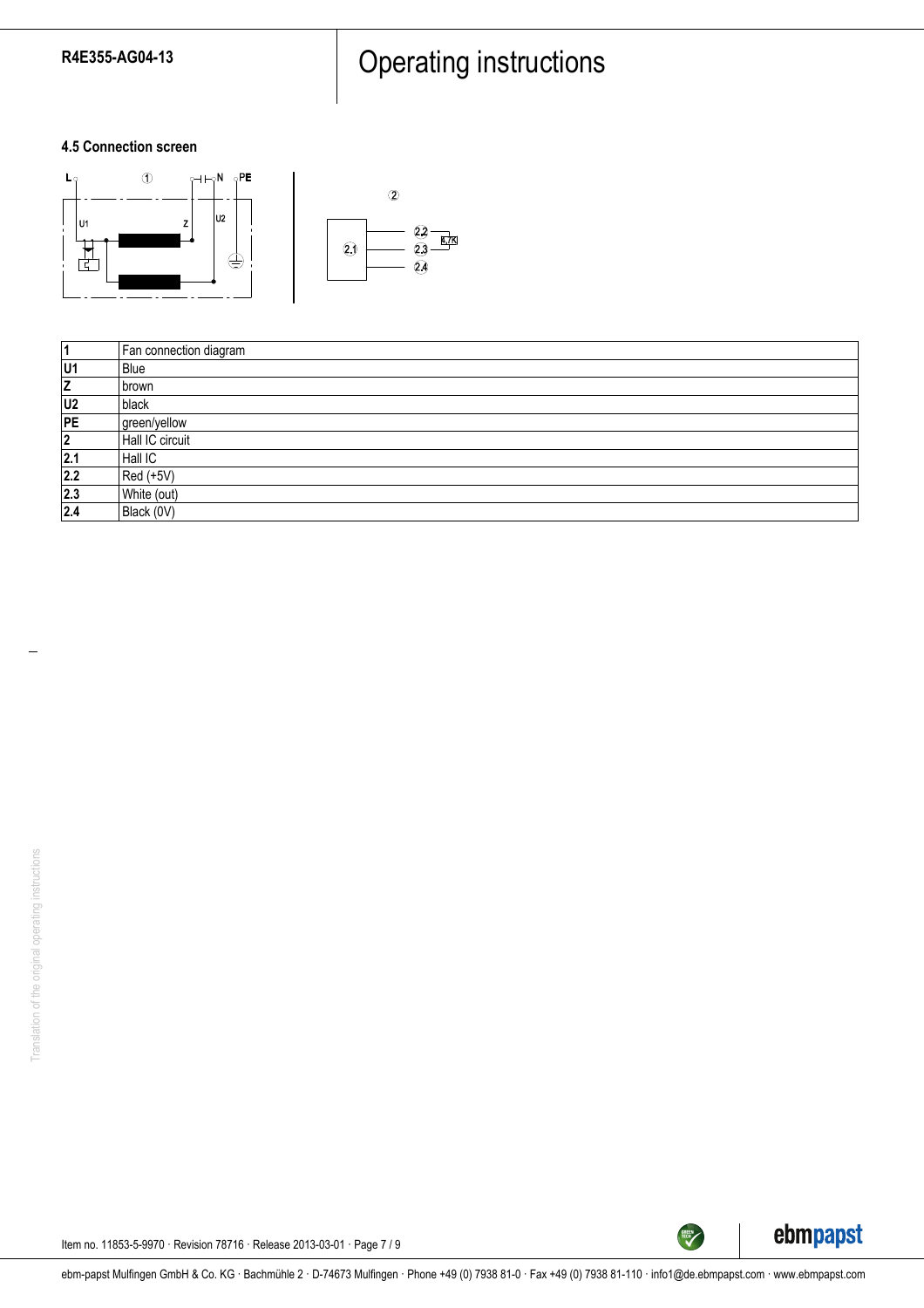# R4E355-AG04-13 Press Press Press Press Press Press Press Press Press Press Press P

## **4.5 Connection screen**



| 1              | Fan connection diagram |
|----------------|------------------------|
| U1             | Blue                   |
| z              | l brown                |
| U <sub>2</sub> | black                  |
| PE             | green/yellow           |
| 2              | Hall IC circuit        |
| 2.1            | Hall IC                |
| 2.2            | Red (+5V)              |
| 2.3            | White (out)            |
| 2.4            | Black (0V)             |



TECH

Item no. 11853-5-9970 · Revision 78716 · Release 2013-03-01 · Page 7 / 9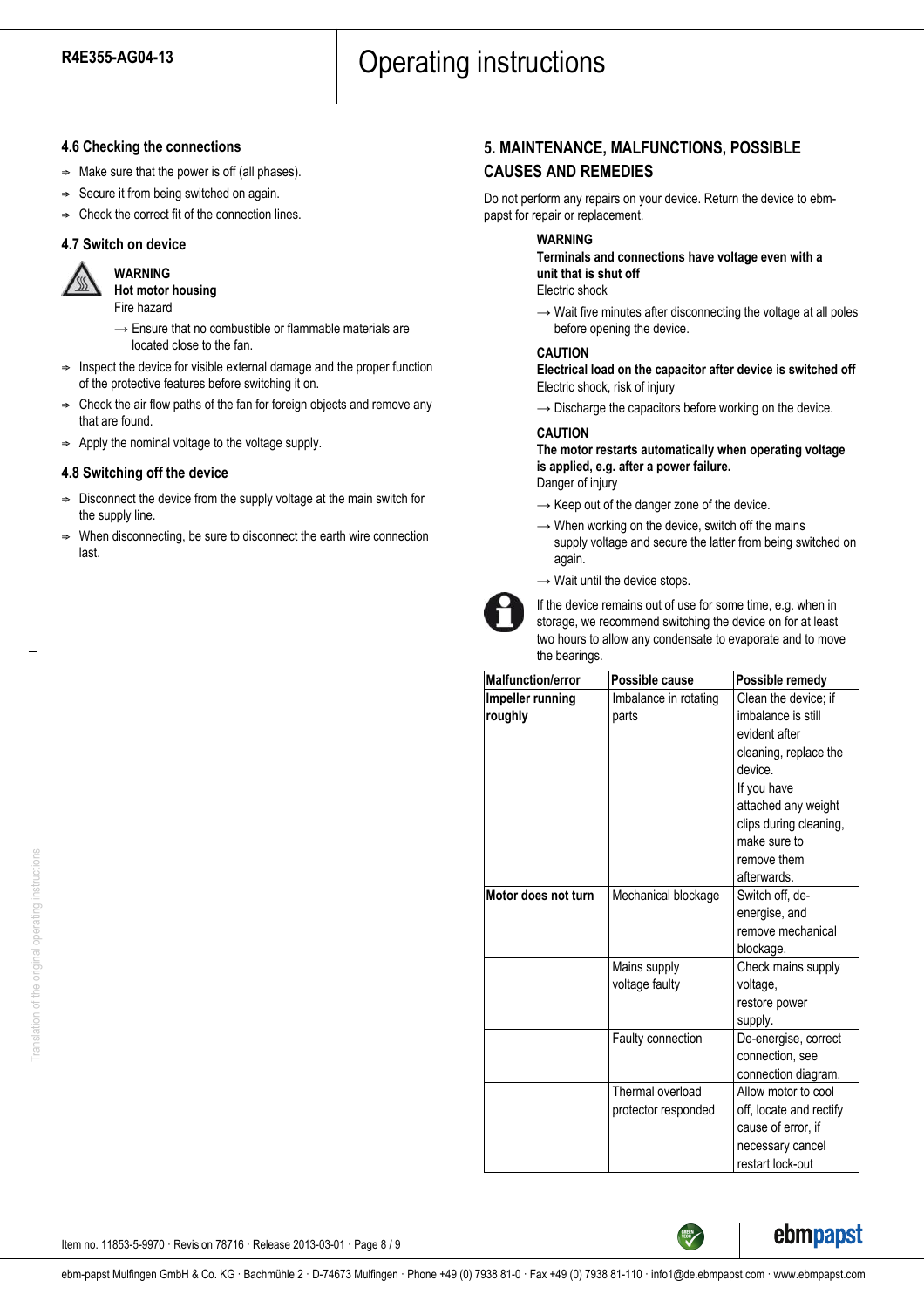## **4.6 Checking the connections**

- $\Rightarrow$  Make sure that the power is off (all phases).
- $\Rightarrow$  Secure it from being switched on again.
- $\Rightarrow$  Check the correct fit of the connection lines.

## **4.7 Switch on device**

**WARNING**



**Hot motor housing** Fire hazard

- $\rightarrow$  Ensure that no combustible or flammable materials are located close to the fan.
- $\Rightarrow$  Inspect the device for visible external damage and the proper function of the protective features before switching it on.
- ; Check the air flow paths of the fan for foreign objects and remove any that are found.
- $\Rightarrow$  Apply the nominal voltage to the voltage supply.

## **4.8 Switching off the device**

- $\Rightarrow$  Disconnect the device from the supply voltage at the main switch for the supply line.
- When disconnecting, be sure to disconnect the earth wire connection last.

## **5. MAINTENANCE, MALFUNCTIONS, POSSIBLE CAUSES AND REMEDIES**

Do not perform any repairs on your device. Return the device to ebmpapst for repair or replacement.

## **WARNING**

**Terminals and connections have voltage even with a unit that is shut off**

Electric shock

 $\rightarrow$  Wait five minutes after disconnecting the voltage at all poles before opening the device.

#### **CAUTION**

**Electrical load on the capacitor after device is switched off** Electric shock, risk of injury

 $\rightarrow$  Discharge the capacitors before working on the device.

## **CAUTION**

**The motor restarts automatically when operating voltage is applied, e.g. after a power failure.**

- Danger of injury
- $\rightarrow$  Keep out of the danger zone of the device.
- $\rightarrow$  When working on the device, switch off the mains supply voltage and secure the latter from being switched on again.
- $\rightarrow$  Wait until the device stops.



If the device remains out of use for some time, e.g. when in storage, we recommend switching the device on for at least two hours to allow any condensate to evaporate and to move the bearings.

| <b>Malfunction/error</b> | Possible cause        | Possible remedy         |
|--------------------------|-----------------------|-------------------------|
| Impeller running         | Imbalance in rotating | Clean the device; if    |
| roughly                  | parts                 | imbalance is still      |
|                          |                       | evident after           |
|                          |                       | cleaning, replace the   |
|                          |                       | device.                 |
|                          |                       | If you have             |
|                          |                       | attached any weight     |
|                          |                       | clips during cleaning,  |
|                          |                       | make sure to            |
|                          |                       | remove them             |
|                          |                       | afterwards.             |
| Motor does not turn      | Mechanical blockage   | Switch off, de-         |
|                          |                       | energise, and           |
|                          |                       | remove mechanical       |
|                          |                       | blockage.               |
|                          | Mains supply          | Check mains supply      |
|                          | voltage faulty        | voltage,                |
|                          |                       | restore power           |
|                          |                       | supply.                 |
|                          | Faulty connection     | De-energise, correct    |
|                          |                       | connection, see         |
|                          |                       | connection diagram.     |
|                          | Thermal overload      | Allow motor to cool     |
|                          | protector responded   | off, locate and rectify |
|                          |                       | cause of error, if      |
|                          |                       | necessary cancel        |
|                          |                       | restart lock-out        |